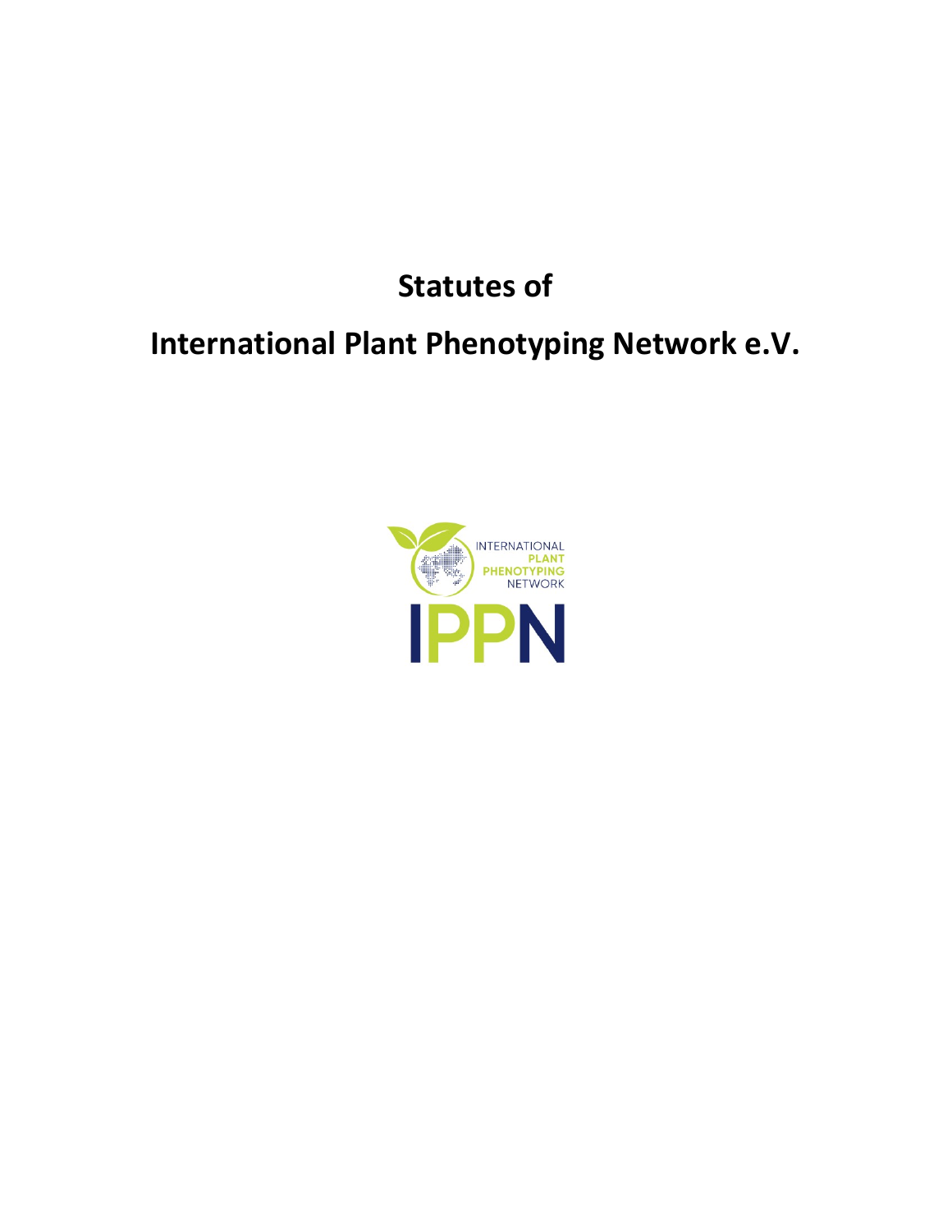# **Statutes of**

# **International Plant Phenotyping Network e.V.**

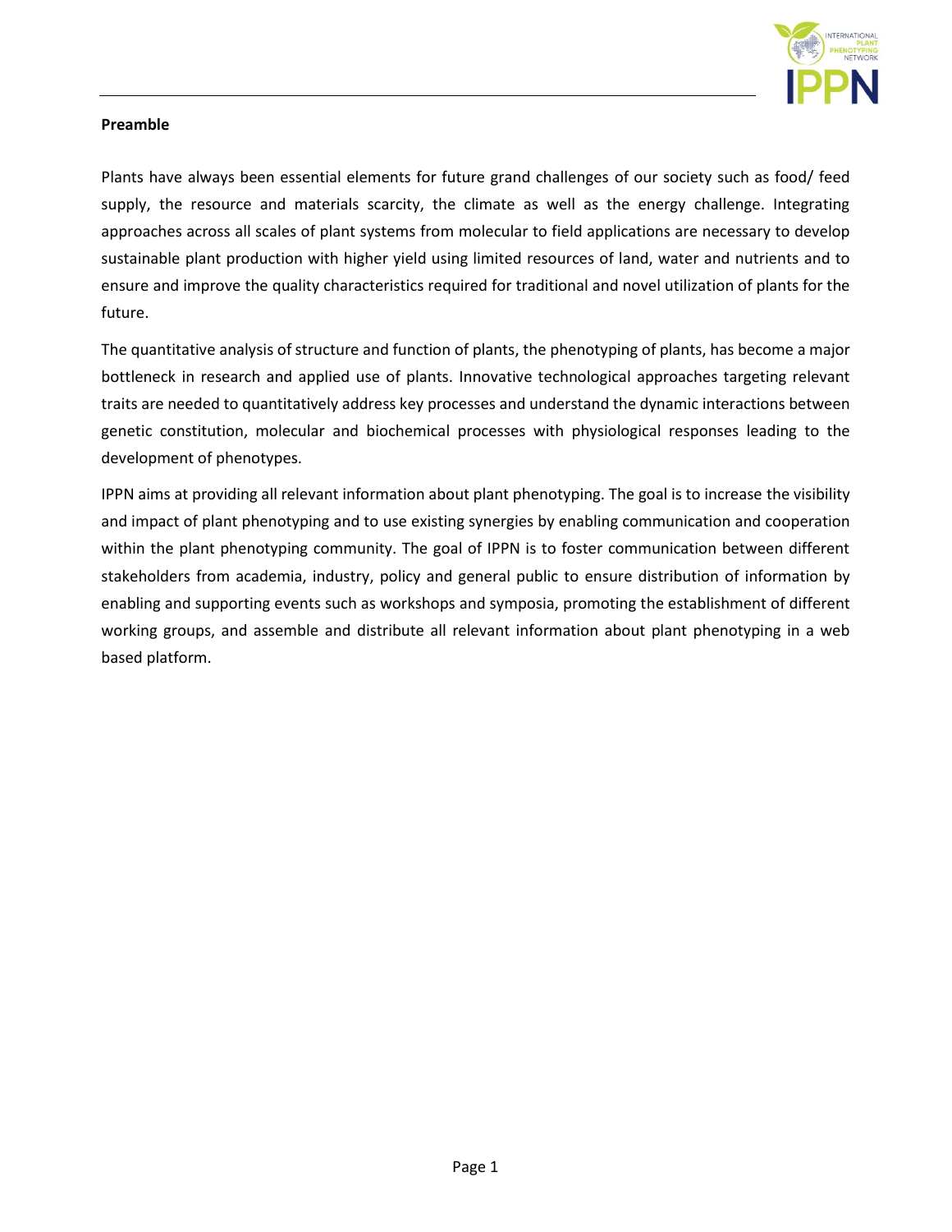

## **Preamble**

Plants have always been essential elements for future grand challenges of our society such as food/ feed supply, the resource and materials scarcity, the climate as well as the energy challenge. Integrating approaches across all scales of plant systems from molecular to field applications are necessary to develop sustainable plant production with higher yield using limited resources of land, water and nutrients and to ensure and improve the quality characteristics required for traditional and novel utilization of plants for the future.

The quantitative analysis of structure and function of plants, the phenotyping of plants, has become a major bottleneck in research and applied use of plants. Innovative technological approaches targeting relevant traits are needed to quantitatively address key processes and understand the dynamic interactions between genetic constitution, molecular and biochemical processes with physiological responses leading to the development of phenotypes.

IPPN aims at providing all relevant information about plant phenotyping. The goal is to increase the visibility and impact of plant phenotyping and to use existing synergies by enabling communication and cooperation within the plant phenotyping community. The goal of IPPN is to foster communication between different stakeholders from academia, industry, policy and general public to ensure distribution of information by enabling and supporting events such as workshops and symposia, promoting the establishment of different working groups, and assemble and distribute all relevant information about plant phenotyping in a web based platform.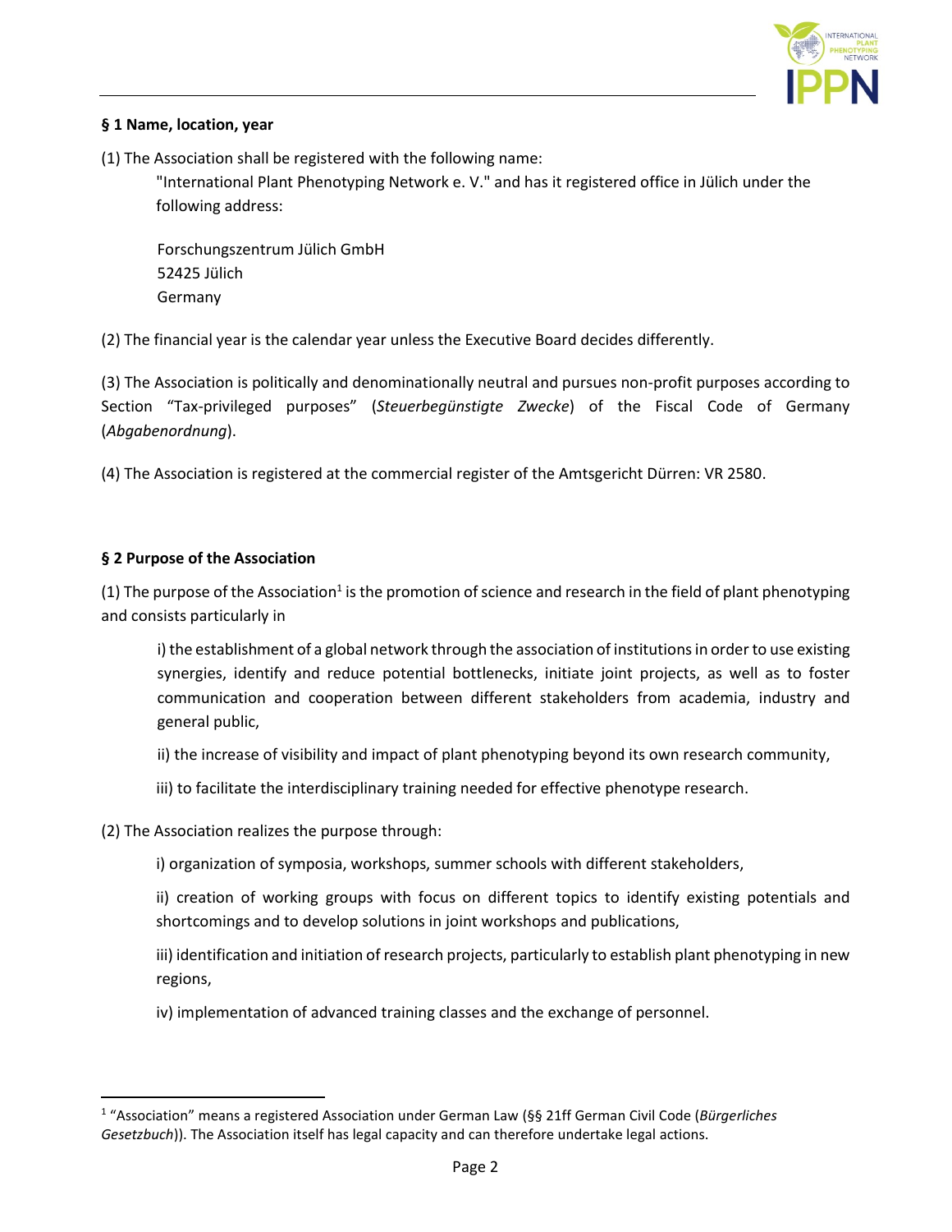

## **§ 1 Name, location, year**

(1) The Association shall be registered with the following name:

"International Plant Phenotyping Network e. V." and has it registered office in Jülich under the following address:

Forschungszentrum Jülich GmbH 52425 Jülich Germany

(2) The financial year is the calendar year unless the Executive Board decides differently.

(3) The Association is politically and denominationally neutral and pursues non-profit purposes according to Section "Tax-privileged purposes" (*Steuerbegünstigte Zwecke*) of the Fiscal Code of Germany (*Abgabenordnung*).

(4) The Association is registered at the commercial register of the Amtsgericht Dürren: VR 2580.

#### **§ 2 Purpose of the Association**

 $\overline{a}$ 

(1) The purpose of the Association<sup>1</sup> is the promotion of science and research in the field of plant phenotyping and consists particularly in

i) the establishment of a global network through the association of institutions in order to use existing synergies, identify and reduce potential bottlenecks, initiate joint projects, as well as to foster communication and cooperation between different stakeholders from academia, industry and general public,

- ii) the increase of visibility and impact of plant phenotyping beyond its own research community,
- iii) to facilitate the interdisciplinary training needed for effective phenotype research.

(2) The Association realizes the purpose through:

i) organization of symposia, workshops, summer schools with different stakeholders,

ii) creation of working groups with focus on different topics to identify existing potentials and shortcomings and to develop solutions in joint workshops and publications,

iii) identification and initiation of research projects, particularly to establish plant phenotyping in new regions,

iv) implementation of advanced training classes and the exchange of personnel.

<sup>1</sup> "Association" means a registered Association under German Law (§§ 21ff German Civil Code (*Bürgerliches Gesetzbuch*)). The Association itself has legal capacity and can therefore undertake legal actions.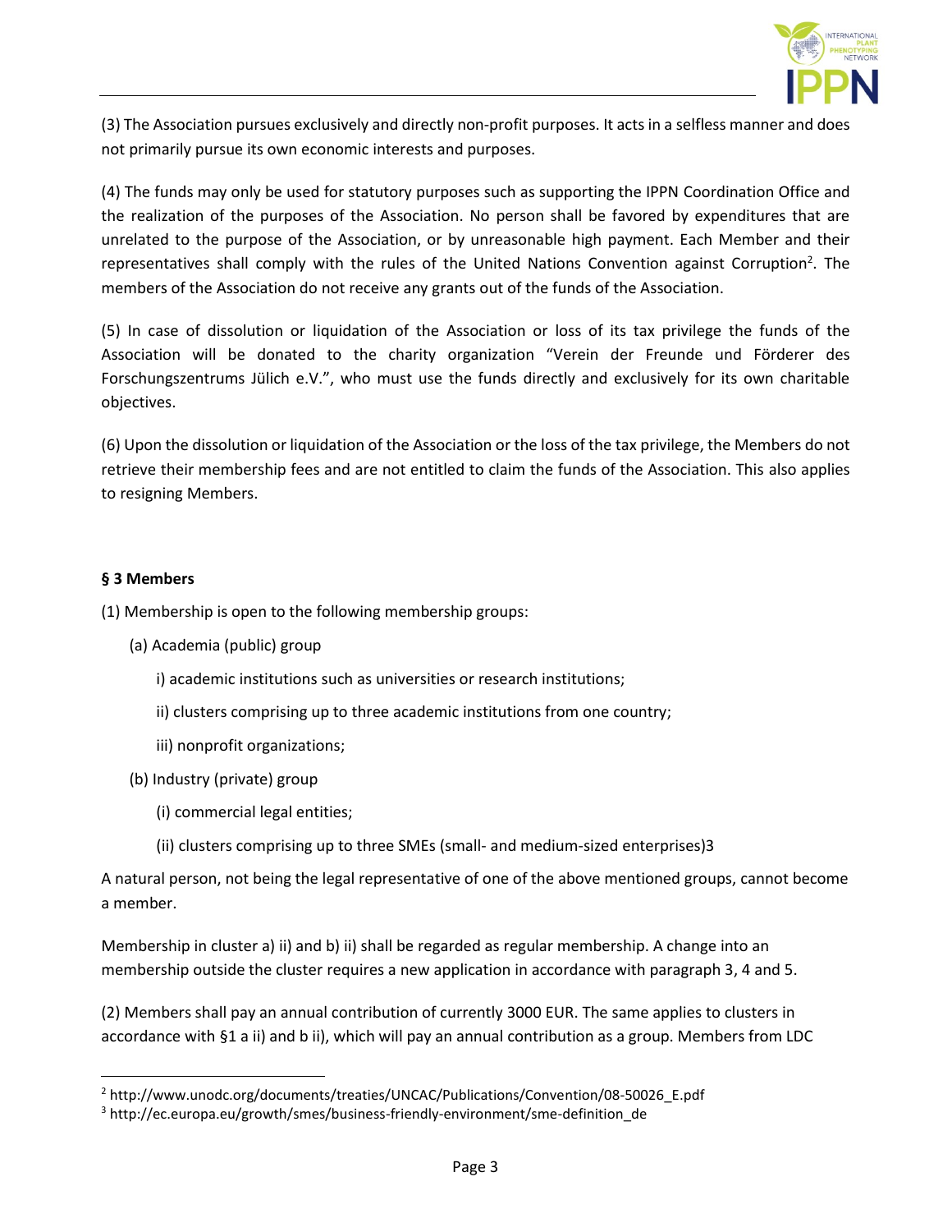

(3) The Association pursues exclusively and directly non-profit purposes. It acts in a selfless manner and does not primarily pursue its own economic interests and purposes.

(4) The funds may only be used for statutory purposes such as supporting the IPPN Coordination Office and the realization of the purposes of the Association. No person shall be favored by expenditures that are unrelated to the purpose of the Association, or by unreasonable high payment. Each Member and their representatives shall comply with the rules of the United Nations Convention against Corruption<sup>2</sup>. The members of the Association do not receive any grants out of the funds of the Association.

(5) In case of dissolution or liquidation of the Association or loss of its tax privilege the funds of the Association will be donated to the charity organization "Verein der Freunde und Förderer des Forschungszentrums Jülich e.V.", who must use the funds directly and exclusively for its own charitable objectives.

(6) Upon the dissolution or liquidation of the Association or the loss of the tax privilege, the Members do not retrieve their membership fees and are not entitled to claim the funds of the Association. This also applies to resigning Members.

## **§ 3 Members**

 $\ddot{\phantom{a}}$ 

(1) Membership is open to the following membership groups:

- (a) Academia (public) group
	- i) academic institutions such as universities or research institutions;
	- ii) clusters comprising up to three academic institutions from one country;
	- iii) nonprofit organizations;
- (b) Industry (private) group
	- (i) commercial legal entities;
	- (ii) clusters comprising up to three SMEs (small- and medium-sized enterprises)3

A natural person, not being the legal representative of one of the above mentioned groups, cannot become a member.

Membership in cluster a) ii) and b) ii) shall be regarded as regular membership. A change into an membership outside the cluster requires a new application in accordance with paragraph 3, 4 and 5.

(2) Members shall pay an annual contribution of currently 3000 EUR. The same applies to clusters in accordance with §1 a ii) and b ii), which will pay an annual contribution as a group. Members from LDC

<sup>2</sup> http://www.unodc.org/documents/treaties/UNCAC/Publications/Convention/08-50026\_E.pdf

<sup>&</sup>lt;sup>3</sup> http://ec.europa.eu/growth/smes/business-friendly-environment/sme-definition\_de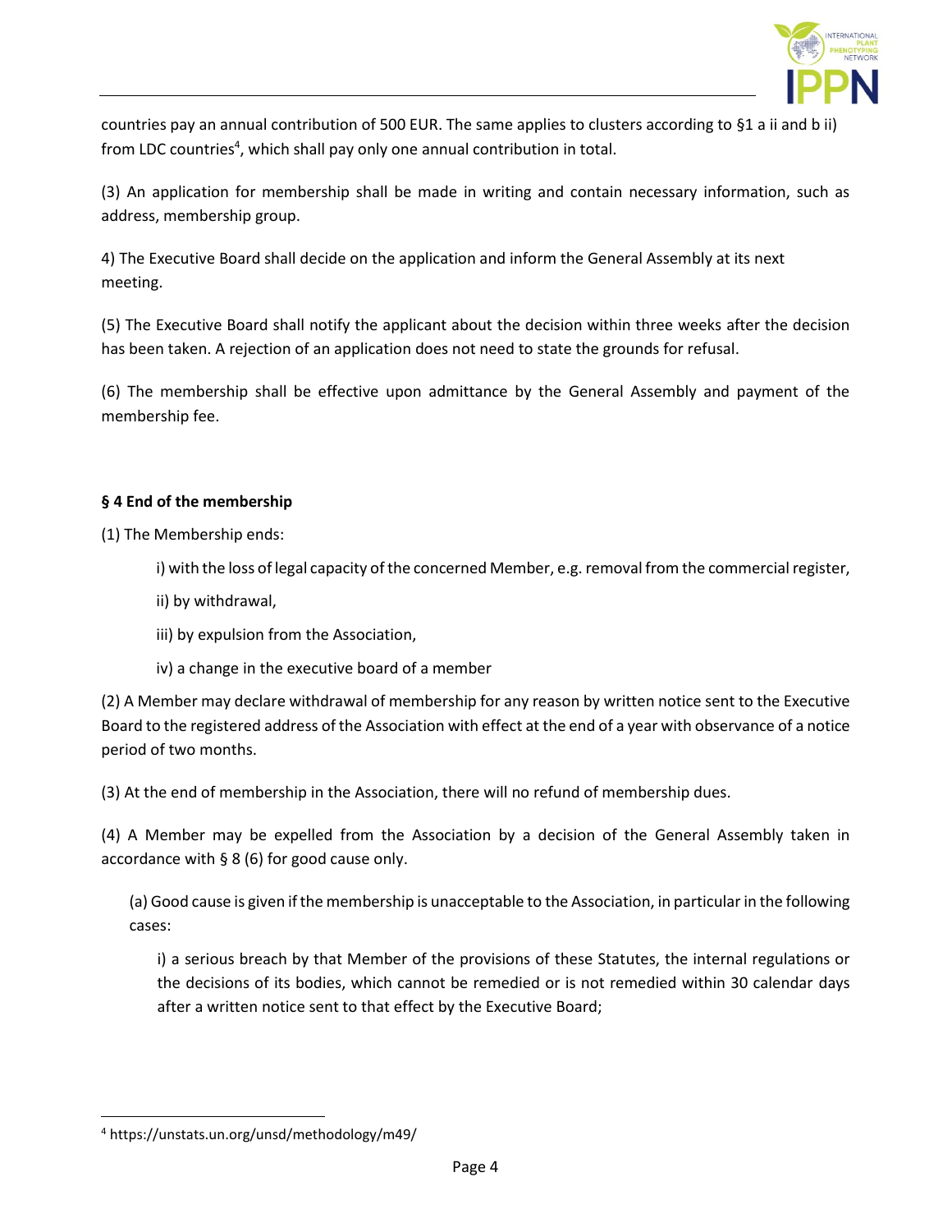

countries pay an annual contribution of 500 EUR. The same applies to clusters according to §1 a ii and b ii) from LDC countries<sup>4</sup>, which shall pay only one annual contribution in total.

(3) An application for membership shall be made in writing and contain necessary information, such as address, membership group.

4) The Executive Board shall decide on the application and inform the General Assembly at its next meeting.

(5) The Executive Board shall notify the applicant about the decision within three weeks after the decision has been taken. A rejection of an application does not need to state the grounds for refusal.

(6) The membership shall be effective upon admittance by the General Assembly and payment of the membership fee.

## **§ 4 End of the membership**

(1) The Membership ends:

i) with the loss of legal capacity of the concerned Member, e.g. removal from the commercial register,

- ii) by withdrawal,
- iii) by expulsion from the Association,
- iv) a change in the executive board of a member

(2) A Member may declare withdrawal of membership for any reason by written notice sent to the Executive Board to the registered address of the Association with effect at the end of a year with observance of a notice period of two months.

(3) At the end of membership in the Association, there will no refund of membership dues.

(4) A Member may be expelled from the Association by a decision of the General Assembly taken in accordance with § 8 (6) for good cause only.

(a) Good cause is given if the membership is unacceptable to the Association, in particular in the following cases:

i) a serious breach by that Member of the provisions of these Statutes, the internal regulations or the decisions of its bodies, which cannot be remedied or is not remedied within 30 calendar days after a written notice sent to that effect by the Executive Board;

 $\overline{a}$ 

<sup>4</sup> https://unstats.un.org/unsd/methodology/m49/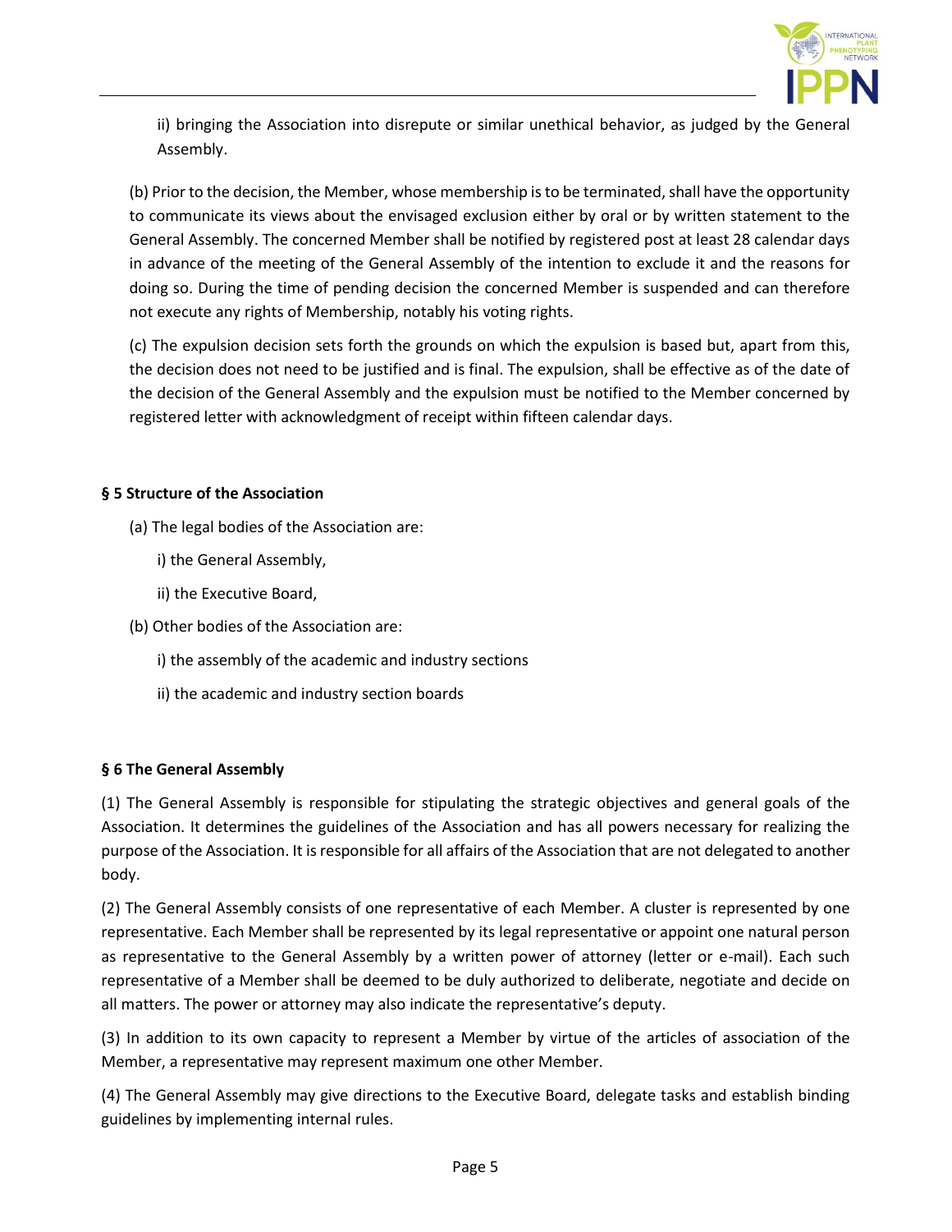

ii) bringing the Association into disrepute or similar unethical behavior, as judged by the General Assembly.

(b) Prior to the decision, the Member, whose membership is to be terminated, shall have the opportunity to communicate its views about the envisaged exclusion either by oral or by written statement to the General Assembly. The concerned Member shall be notified by registered post at least 28 calendar days in advance of the meeting of the General Assembly of the intention to exclude it and the reasons for doing so. During the time of pending decision the concerned Member is suspended and can therefore not execute any rights of Membership, notably his voting rights.

(c) The expulsion decision sets forth the grounds on which the expulsion is based but, apart from this, the decision does not need to be justified and is final. The expulsion, shall be effective as of the date of the decision of the General Assembly and the expulsion must be notified to the Member concerned by registered letter with acknowledgment of receipt within fifteen calendar days.

## **§ 5 Structure of the Association**

- (a) The legal bodies of the Association are:
	- i) the General Assembly,
	- ii) the Executive Board,
- (b) Other bodies of the Association are:
	- i) the assembly of the academic and industry sections
	- ii) the academic and industry section boards

#### **§ 6 The General Assembly**

(1) The General Assembly is responsible for stipulating the strategic objectives and general goals of the Association. It determines the guidelines of the Association and has all powers necessary for realizing the purpose of the Association. It is responsible for all affairs of the Association that are not delegated to another body.

(2) The General Assembly consists of one representative of each Member. A cluster is represented by one representative. Each Member shall be represented by its legal representative or appoint one natural person as representative to the General Assembly by a written power of attorney (letter or e-mail). Each such representative of a Member shall be deemed to be duly authorized to deliberate, negotiate and decide on all matters. The power or attorney may also indicate the representative's deputy.

(3) In addition to its own capacity to represent a Member by virtue of the articles of association of the Member, a representative may represent maximum one other Member.

(4) The General Assembly may give directions to the Executive Board, delegate tasks and establish binding guidelines by implementing internal rules.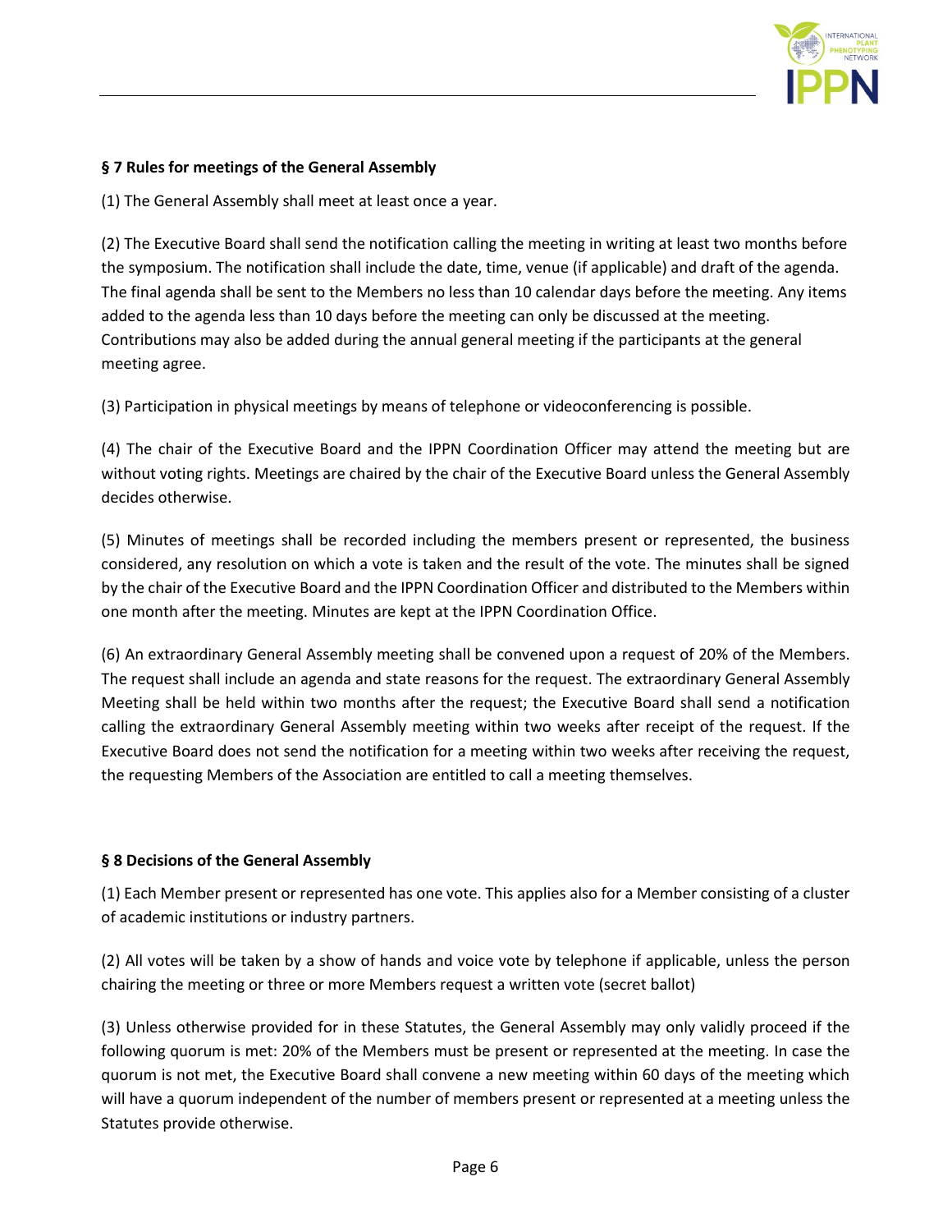

## **§ 7 Rules for meetings of the General Assembly**

(1) The General Assembly shall meet at least once a year.

(2) The Executive Board shall send the notification calling the meeting in writing at least two months before the symposium. The notification shall include the date, time, venue (if applicable) and draft of the agenda. The final agenda shall be sent to the Members no less than 10 calendar days before the meeting. Any items added to the agenda less than 10 days before the meeting can only be discussed at the meeting. Contributions may also be added during the annual general meeting if the participants at the general meeting agree.

(3) Participation in physical meetings by means of telephone or videoconferencing is possible.

(4) The chair of the Executive Board and the IPPN Coordination Officer may attend the meeting but are without voting rights. Meetings are chaired by the chair of the Executive Board unless the General Assembly decides otherwise.

(5) Minutes of meetings shall be recorded including the members present or represented, the business considered, any resolution on which a vote is taken and the result of the vote. The minutes shall be signed by the chair of the Executive Board and the IPPN Coordination Officer and distributed to the Members within one month after the meeting. Minutes are kept at the IPPN Coordination Office.

(6) An extraordinary General Assembly meeting shall be convened upon a request of 20% of the Members. The request shall include an agenda and state reasons for the request. The extraordinary General Assembly Meeting shall be held within two months after the request; the Executive Board shall send a notification calling the extraordinary General Assembly meeting within two weeks after receipt of the request. If the Executive Board does not send the notification for a meeting within two weeks after receiving the request, the requesting Members of the Association are entitled to call a meeting themselves.

#### **§ 8 Decisions of the General Assembly**

(1) Each Member present or represented has one vote. This applies also for a Member consisting of a cluster of academic institutions or industry partners.

(2) All votes will be taken by a show of hands and voice vote by telephone if applicable, unless the person chairing the meeting or three or more Members request a written vote (secret ballot)

(3) Unless otherwise provided for in these Statutes, the General Assembly may only validly proceed if the following quorum is met: 20% of the Members must be present or represented at the meeting. In case the quorum is not met, the Executive Board shall convene a new meeting within 60 days of the meeting which will have a quorum independent of the number of members present or represented at a meeting unless the Statutes provide otherwise.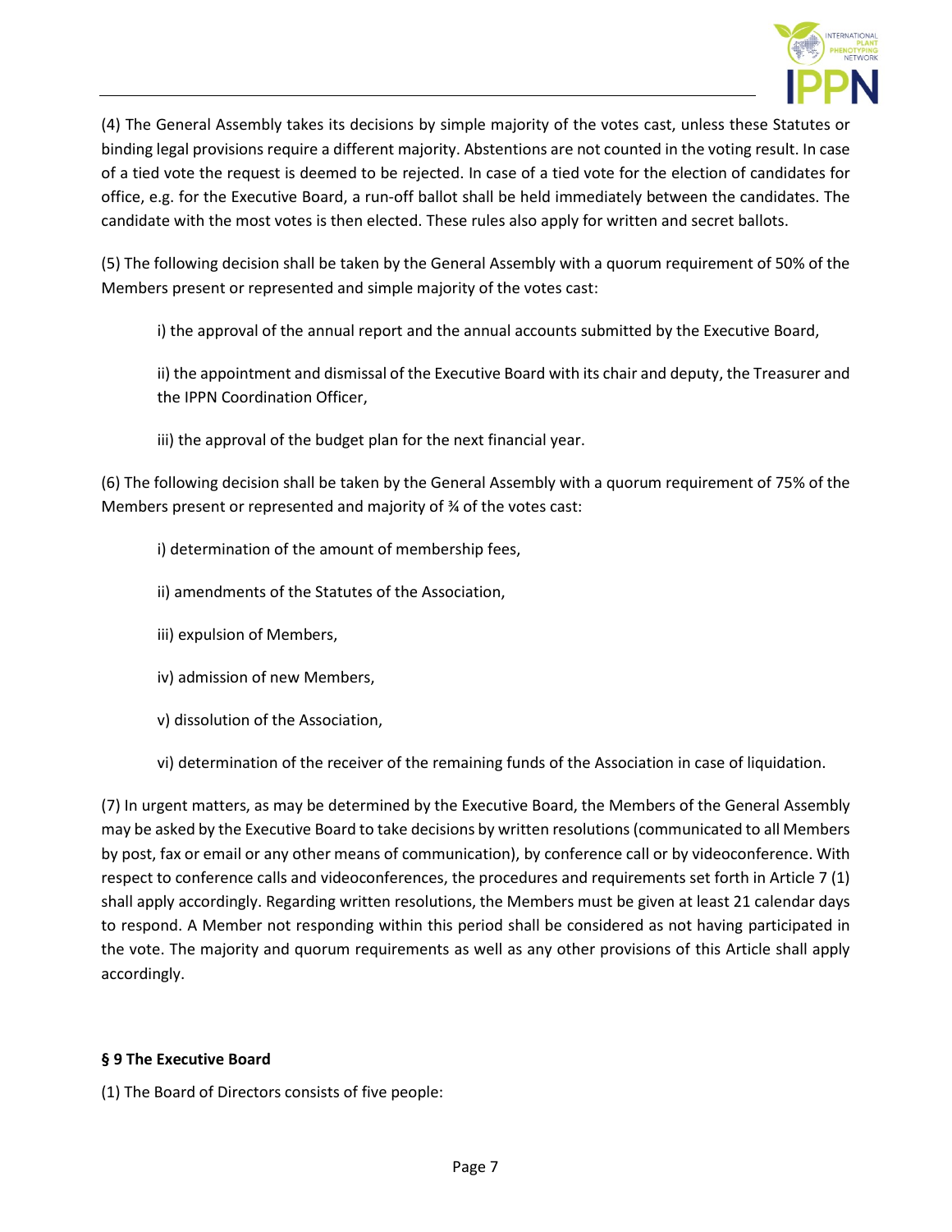

(4) The General Assembly takes its decisions by simple majority of the votes cast, unless these Statutes or binding legal provisions require a different majority. Abstentions are not counted in the voting result. In case of a tied vote the request is deemed to be rejected. In case of a tied vote for the election of candidates for office, e.g. for the Executive Board, a run-off ballot shall be held immediately between the candidates. The candidate with the most votes is then elected. These rules also apply for written and secret ballots.

(5) The following decision shall be taken by the General Assembly with a quorum requirement of 50% of the Members present or represented and simple majority of the votes cast:

i) the approval of the annual report and the annual accounts submitted by the Executive Board,

ii) the appointment and dismissal of the Executive Board with its chair and deputy, the Treasurer and the IPPN Coordination Officer,

iii) the approval of the budget plan for the next financial year.

(6) The following decision shall be taken by the General Assembly with a quorum requirement of 75% of the Members present or represented and majority of ¾ of the votes cast:

- i) determination of the amount of membership fees,
- ii) amendments of the Statutes of the Association,
- iii) expulsion of Members,
- iv) admission of new Members,
- v) dissolution of the Association,
- vi) determination of the receiver of the remaining funds of the Association in case of liquidation.

(7) In urgent matters, as may be determined by the Executive Board, the Members of the General Assembly may be asked by the Executive Board to take decisions by written resolutions (communicated to all Members by post, fax or email or any other means of communication), by conference call or by videoconference. With respect to conference calls and videoconferences, the procedures and requirements set forth in Article 7 (1) shall apply accordingly. Regarding written resolutions, the Members must be given at least 21 calendar days to respond. A Member not responding within this period shall be considered as not having participated in the vote. The majority and quorum requirements as well as any other provisions of this Article shall apply accordingly.

#### **§ 9 The Executive Board**

(1) The Board of Directors consists of five people: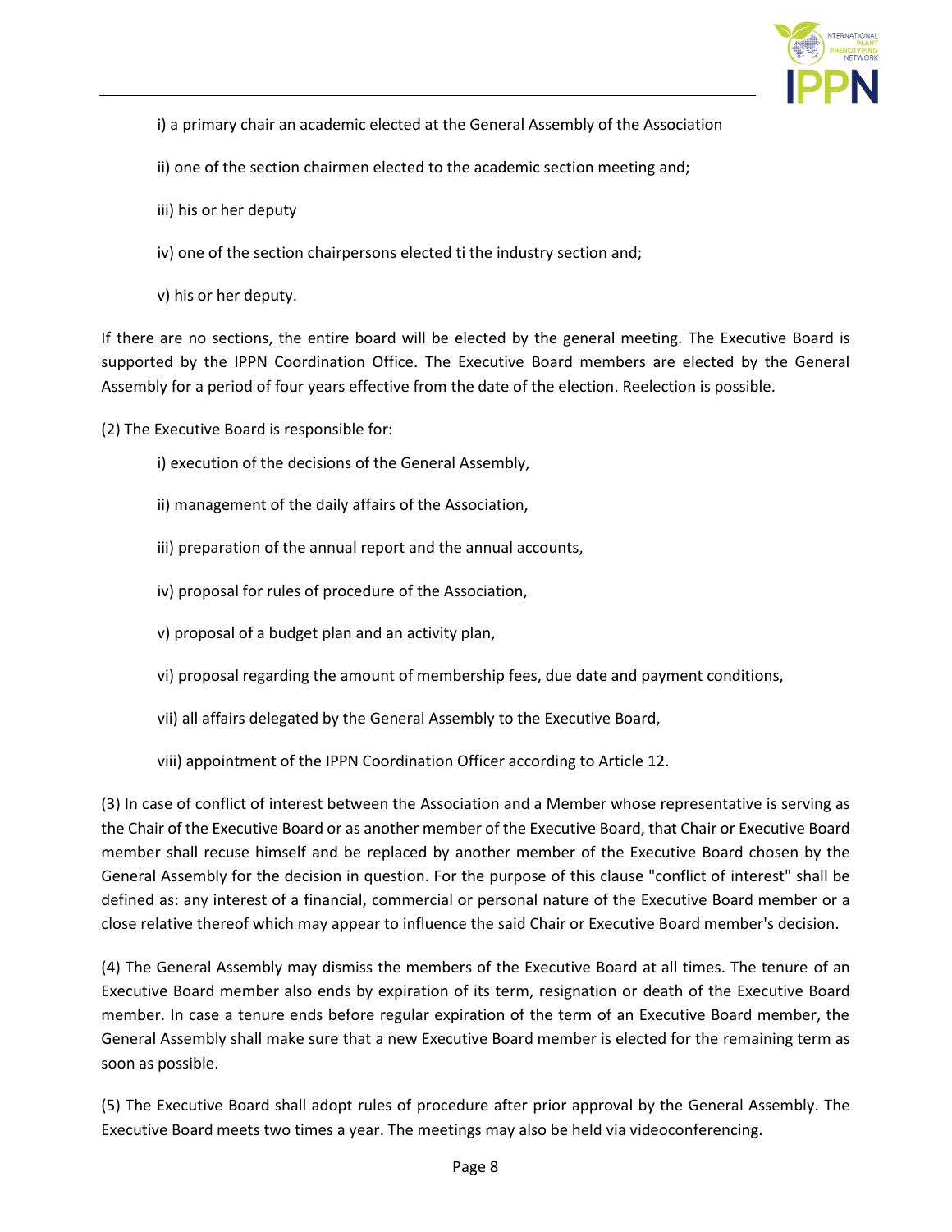

- i) a primary chair an academic elected at the General Assembly of the Association
- ii) one of the section chairmen elected to the academic section meeting and;
- iii) his or her deputy
- iv) one of the section chairpersons elected ti the industry section and;
- v) his or her deputy.

If there are no sections, the entire board will be elected by the general meeting. The Executive Board is supported by the IPPN Coordination Office. The Executive Board members are elected by the General Assembly for a period of four years effective from the date of the election. Reelection is possible.

- (2) The Executive Board is responsible for:
	- i) execution of the decisions of the General Assembly,
	- ii) management of the daily affairs of the Association,
	- iii) preparation of the annual report and the annual accounts,
	- iv) proposal for rules of procedure of the Association,
	- v) proposal of a budget plan and an activity plan,
	- vi) proposal regarding the amount of membership fees, due date and payment conditions,
	- vii) all affairs delegated by the General Assembly to the Executive Board,
	- viii) appointment of the IPPN Coordination Officer according to Article 12.

(3) In case of conflict of interest between the Association and a Member whose representative is serving as the Chair of the Executive Board or as another member of the Executive Board, that Chair or Executive Board member shall recuse himself and be replaced by another member of the Executive Board chosen by the General Assembly for the decision in question. For the purpose of this clause "conflict of interest" shall be defined as: any interest of a financial, commercial or personal nature of the Executive Board member or a close relative thereof which may appear to influence the said Chair or Executive Board member's decision.

(4) The General Assembly may dismiss the members of the Executive Board at all times. The tenure of an Executive Board member also ends by expiration of its term, resignation or death of the Executive Board member. In case a tenure ends before regular expiration of the term of an Executive Board member, the General Assembly shall make sure that a new Executive Board member is elected for the remaining term as soon as possible.

(5) The Executive Board shall adopt rules of procedure after prior approval by the General Assembly. The Executive Board meets two times a year. The meetings may also be held via videoconferencing.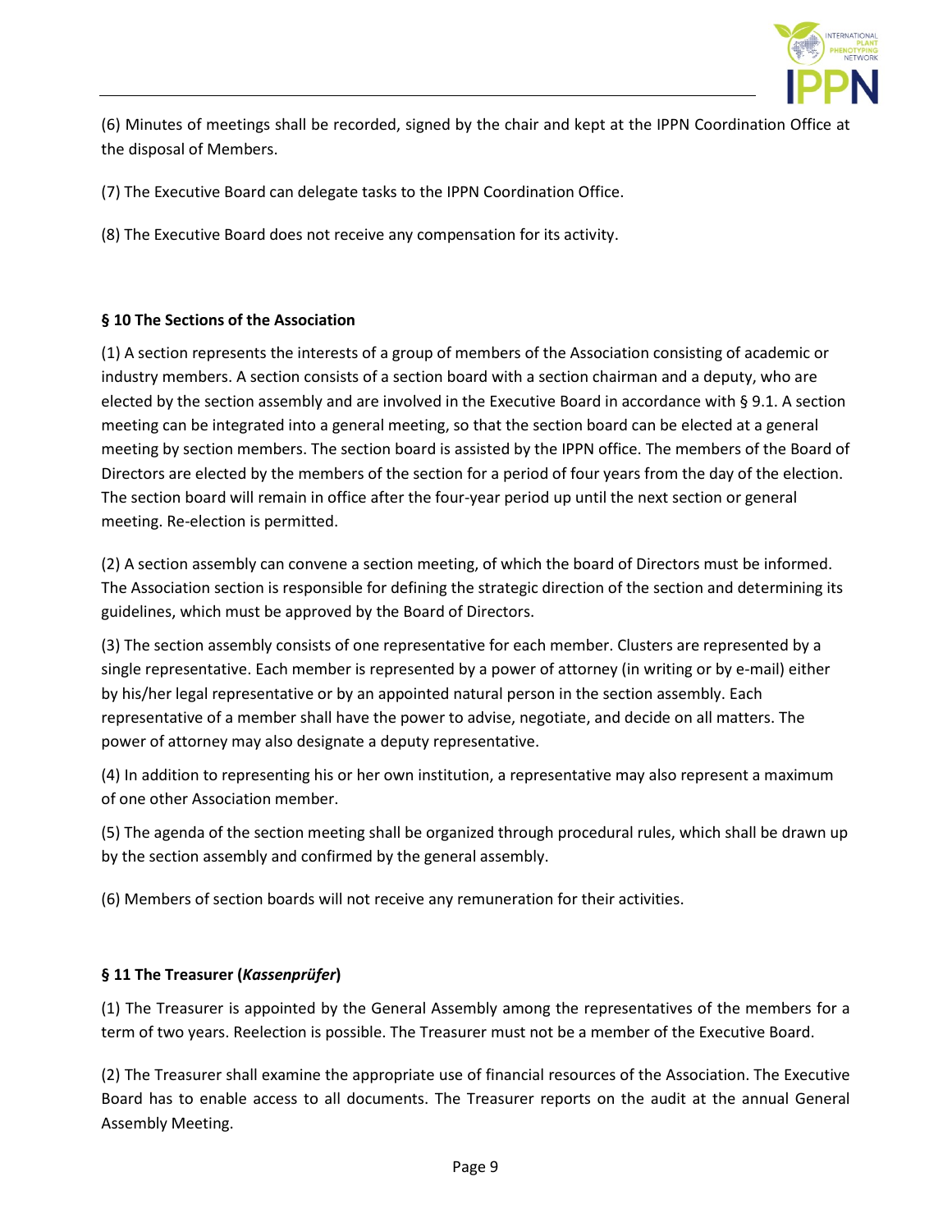

(6) Minutes of meetings shall be recorded, signed by the chair and kept at the IPPN Coordination Office at the disposal of Members.

(7) The Executive Board can delegate tasks to the IPPN Coordination Office.

(8) The Executive Board does not receive any compensation for its activity.

# **§ 10 The Sections of the Association**

(1) A section represents the interests of a group of members of the Association consisting of academic or industry members. A section consists of a section board with a section chairman and a deputy, who are elected by the section assembly and are involved in the Executive Board in accordance with § 9.1. A section meeting can be integrated into a general meeting, so that the section board can be elected at a general meeting by section members. The section board is assisted by the IPPN office. The members of the Board of Directors are elected by the members of the section for a period of four years from the day of the election. The section board will remain in office after the four-year period up until the next section or general meeting. Re-election is permitted.

(2) A section assembly can convene a section meeting, of which the board of Directors must be informed. The Association section is responsible for defining the strategic direction of the section and determining its guidelines, which must be approved by the Board of Directors.

(3) The section assembly consists of one representative for each member. Clusters are represented by a single representative. Each member is represented by a power of attorney (in writing or by e-mail) either by his/her legal representative or by an appointed natural person in the section assembly. Each representative of a member shall have the power to advise, negotiate, and decide on all matters. The power of attorney may also designate a deputy representative.

(4) In addition to representing his or her own institution, a representative may also represent a maximum of one other Association member.

(5) The agenda of the section meeting shall be organized through procedural rules, which shall be drawn up by the section assembly and confirmed by the general assembly.

(6) Members of section boards will not receive any remuneration for their activities.

# **§ 11 The Treasurer (***Kassenprüfer***)**

(1) The Treasurer is appointed by the General Assembly among the representatives of the members for a term of two years. Reelection is possible. The Treasurer must not be a member of the Executive Board.

(2) The Treasurer shall examine the appropriate use of financial resources of the Association. The Executive Board has to enable access to all documents. The Treasurer reports on the audit at the annual General Assembly Meeting.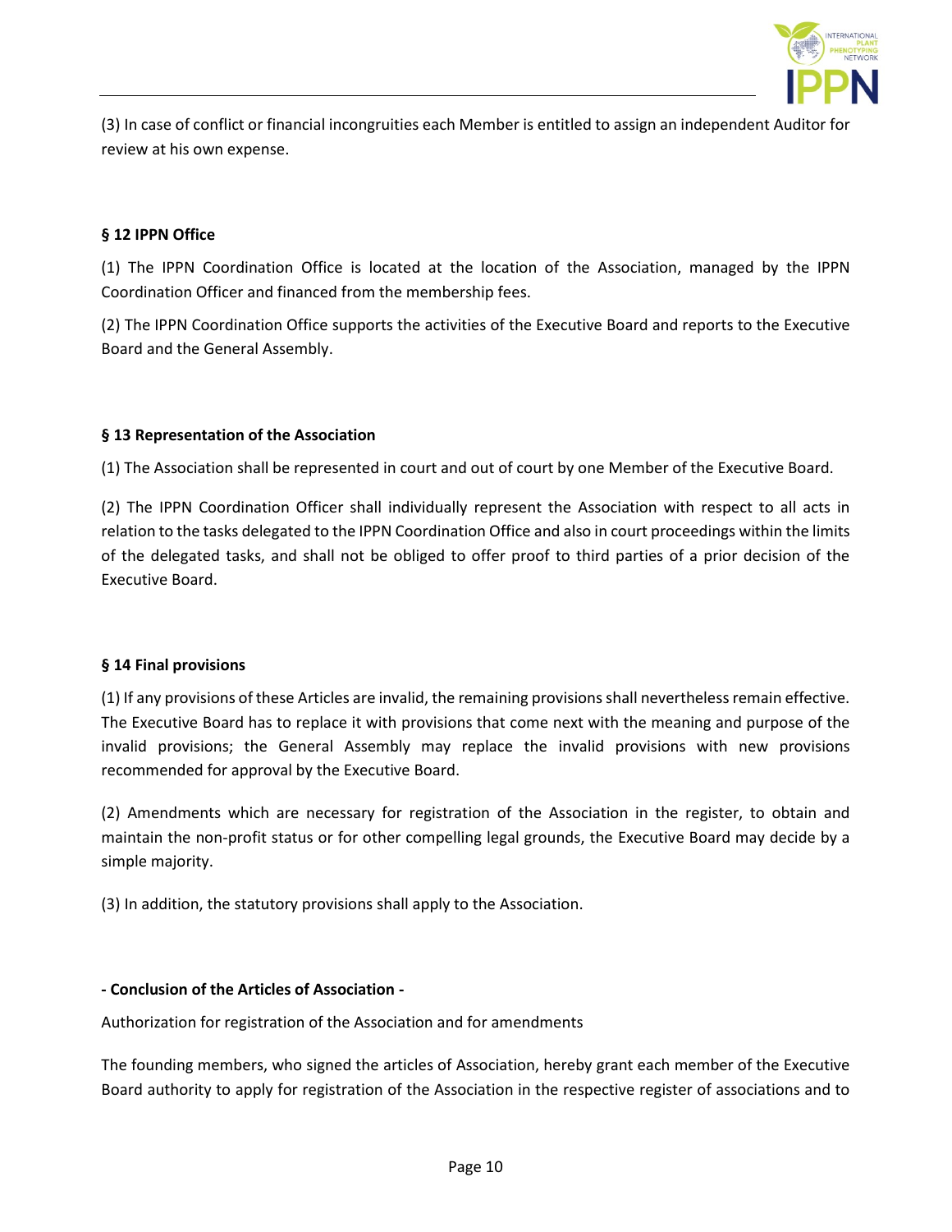

(3) In case of conflict or financial incongruities each Member is entitled to assign an independent Auditor for review at his own expense.

# **§ 12 IPPN Office**

(1) The IPPN Coordination Office is located at the location of the Association, managed by the IPPN Coordination Officer and financed from the membership fees.

(2) The IPPN Coordination Office supports the activities of the Executive Board and reports to the Executive Board and the General Assembly.

## **§ 13 Representation of the Association**

(1) The Association shall be represented in court and out of court by one Member of the Executive Board.

(2) The IPPN Coordination Officer shall individually represent the Association with respect to all acts in relation to the tasks delegated to the IPPN Coordination Office and also in court proceedings within the limits of the delegated tasks, and shall not be obliged to offer proof to third parties of a prior decision of the Executive Board.

#### **§ 14 Final provisions**

(1) If any provisions of these Articles are invalid, the remaining provisions shall nevertheless remain effective. The Executive Board has to replace it with provisions that come next with the meaning and purpose of the invalid provisions; the General Assembly may replace the invalid provisions with new provisions recommended for approval by the Executive Board.

(2) Amendments which are necessary for registration of the Association in the register, to obtain and maintain the non-profit status or for other compelling legal grounds, the Executive Board may decide by a simple majority.

(3) In addition, the statutory provisions shall apply to the Association.

## **- Conclusion of the Articles of Association -**

Authorization for registration of the Association and for amendments

The founding members, who signed the articles of Association, hereby grant each member of the Executive Board authority to apply for registration of the Association in the respective register of associations and to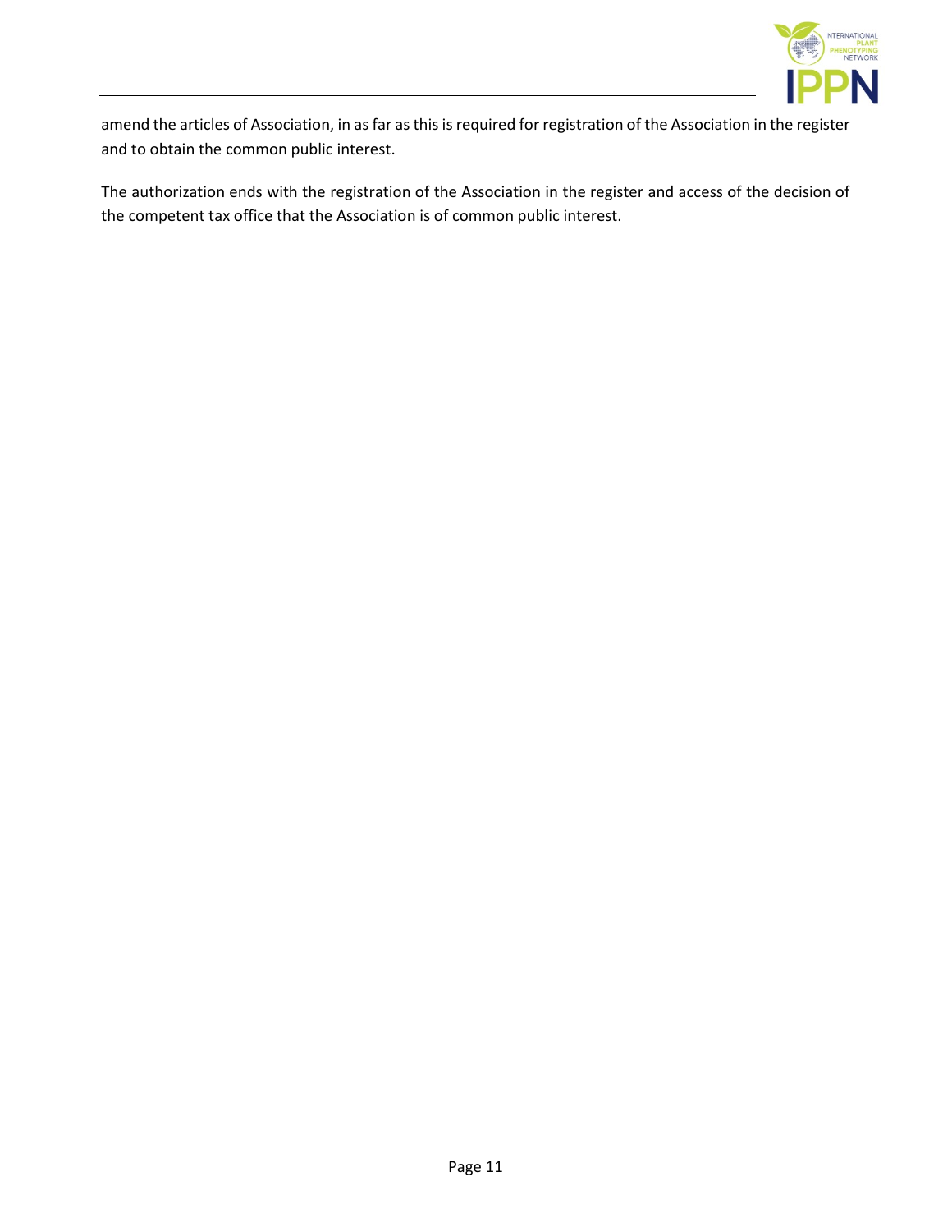

amend the articles of Association, in as far as this is required for registration of the Association in the register and to obtain the common public interest.

The authorization ends with the registration of the Association in the register and access of the decision of the competent tax office that the Association is of common public interest.